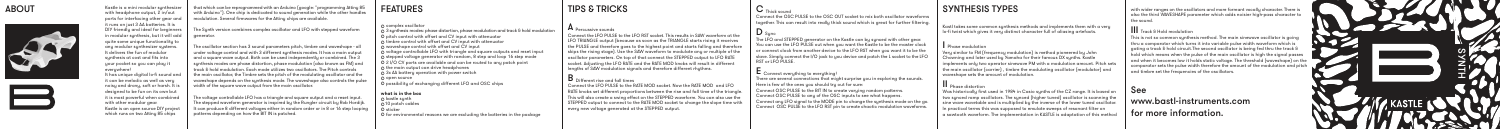

It has unique digital lo-fi sound and it can be melodic as well as veru noisy and drony, soft or harsh. It is designed to be fun on its own but it is most powerful when combined with other modular gear. Kastle is an open source DIY project which runs on two Attiny 85 chips

The oscillator section has 3 sound parameters pitch, timbre and waveshape - all trol and with 3 different sunthesis modes. It has a main output and a square wave output. Both can be used independently or combined. The 3 synthesis modes are phase distortion, phase modulation (also known as FM) and track & hold modulation. Each mode utilizes two oscillators. The Pitch controls the main oscillator, the Timbre sets the pitch of the modulating oscillator and the waveshape depends on the sunthesis mode. The waveshape also controls the pulse width of the square wave output from the main oscillator.

that which can be reprogrammed with an Arduino (google: "programming Attiny 85 with Arduino"). One chip is dedicated to sound generation while the other handles modulation. Several irmwares for the Attiny chips are available.

The Synth version combines complex oscillator and LFO with stepped waveform

© kastle synth<br>©10 patch cables © sticker © for environmental reasons we are excluding the batteries in the package

The voltage controllable LFO has a triangle and square output and a reset input. The stepped waveform generator is inspired by the Rungler circuit by Rob Hordjk. It can produce 8 different voltages either in random order or in 8 or 16 step loop patterns depending on how the BIT IN is patched.

#### ABOUT





Kastle is a mini modular sunthesizer with headphone output, 2 in/out ports for interfacing other gear and it runs on just 3 AA batteries. It is DIY friendly and ideal for beginners in modular synthesis, but it will add generator. quite some unique functionality to any modular synthesizer systems. t delivers the fun of modular synthesis at cost and fits into your pocket so you can play it everuwhere!

> where  $\overline{\text{OSC}}$  PULSE to the BIT IN to create varying random patterns. onnect OSC PULSE to any of the OSC inputs to see what happens. Connect any LFO signal to the MODE pin to change the synthesis mode on the  $\mathsf{g} \circ$ Connect OSC PULSE to the LFO RST pin to create chaotic modulation waveforms.

Very similar to FM (frequency modulation) is method pioneered by John Chowning and later used by Yamaha for their famous DX synths. Kastle  $\sim$  only two operator sinewave PM with a modulation amount. Pitch sets the main oscillator (carrier), timbre the modulating oscillator (modulator) waveshape sets the amount of modulation

#### **what is in the box**

#### FEATURES

© complex oscillator<br>
© synthesis modes: phase distortion, phase modulation and track & hold modulation<br>
© 3 ighthesis modes: phase distortion, phase modulation and track & hold modulation<br>
© timbre control with offset an

A Percussive sounds

Connect the LFO PULSE to the LFO RST socket. This results in SAW waveform at the LFO TRIANGLE output (because as soon as the TRIANGLE starts rising it receives the PULSE and therefore goes to the highest point and starts falling and therefore skips the rising stage). Use the SAW waveform to modulate any or multiple of the oscillator parameters. On top of that connect the STEPPED output to LFO RATE socket. Adjusting the LFO RATE and the RATE MOD knobs will result in different lengths of SAW modulation signals and therefore different rhythms.

**D** Different rise and fall times

# **III** Track & Hold modulation hold which means when the pulse of the main oscillator is high and timbre set the frequencies of the oscillators.

Connect the LFO PULSE to the RATE MOD socket. Now the RATE MOD and LFO RATE knobs set different proportions between the rise and fall time of the triangle. This will also create a swing effect on the STEPPED waveform. You can also use the STEPPED output to connect to the RATE MOD socket to change the slope time with every new voltage generated at the STEPPED output.

### TIPS & TRICKS C Thick sound

Connect the OSC PULSE to the OSC OUT socket to mix both oscillator waveforms together. This can result into really thick sound which is great for further filtering.

 $\mathbf{D}$  Sync

he LFO and STEPPED generator on the Kastle can by synced with other gear. You can use the LFO PULSE out when you want the Kastle to be the master clock or connect clock from another device to the LFO RST when you want it to be the slave. Simply connect the I/O jack to you device and patch the L socket to the LFO RST or LFO PULSE.

- 
- $\blacksquare$  Connect everything to everything!

There are several connections that might surprise you in exploring the sounds. Here is few of the ones you should try out for sure:

Kastl takes some common synthesis methods and implements them with a very lo-fi twist which gives it very distinct character full of aliasing artefacts.

## | Phase modulation

#### II Phase distortion

Was historically first used in 1984 in Casio synths of the CZ range. It is based on two synced ramp oscillators. The synced (higher tuned) oscillator is scanning sine wave wavetable and is multiplied by the inverse of the lower tuned oscill<br>sine wave wavetable and is multiplied by the inverse of the lower tuned oscill In practical terms this was supposed to emulate sweeps of resonant filter on a sawtooth waveform. The implementation in KASTLE is adaptation of this method

### SYNTHESIS TYPES

### See

## www.bastl-instruments.com for more information.

with wider ranges on the oscillators and more formant vocally character. There is also the third WAVESHAPE parameter which adds noisier high-pass character to the sound.

This is not so common synthesis method. The main sinewave oscillator is going thru a comparator which turns it into variable pulse width waveform which is gating a track & hold circuit.The second oscillator is being fed thru the track & and when it becomes low it holds static voltage. The threshold (waveshape) on the comparator sets the pulse width therefore the amount of the modulation and pitch